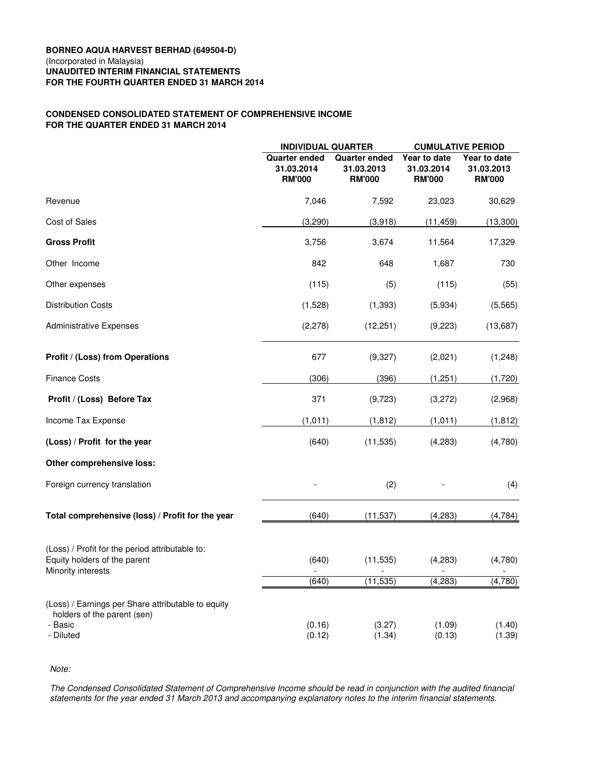# **BORNEO AQUA HARVEST BERHAD (649504-D)** (Incorporated in Malaysia) **UNAUDITED INTERIM FINANCIAL STATEMENTS FOR THE FOURTH QUARTER ENDED 31 MARCH 2014**

# **CONDENSED CONSOLIDATED STATEMENT OF COMPREHENSIVE INCOME FOR THE QUARTER ENDED 31 MARCH 2014**

|                                                                                                           | <b>INDIVIDUAL QUARTER</b>                           |                                                     | <b>CUMULATIVE PERIOD</b>                    |                                             |
|-----------------------------------------------------------------------------------------------------------|-----------------------------------------------------|-----------------------------------------------------|---------------------------------------------|---------------------------------------------|
|                                                                                                           | <b>Quarter ended</b><br>31.03.2014<br><b>RM'000</b> | <b>Quarter ended</b><br>31.03.2013<br><b>RM'000</b> | Year to date<br>31.03.2014<br><b>RM'000</b> | Year to date<br>31.03.2013<br><b>RM'000</b> |
| Revenue                                                                                                   | 7,046                                               | 7,592                                               | 23,023                                      | 30,629                                      |
| <b>Cost of Sales</b>                                                                                      | (3,290)                                             | (3,918)                                             | (11, 459)                                   | (13,300)                                    |
| <b>Gross Profit</b>                                                                                       | 3,756                                               | 3,674                                               | 11,564                                      | 17,329                                      |
| Other Income                                                                                              | 842                                                 | 648                                                 | 1,687                                       | 730                                         |
| Other expenses                                                                                            | (115)                                               | (5)                                                 | (115)                                       | (55)                                        |
| <b>Distribution Costs</b>                                                                                 | (1,528)                                             | (1, 393)                                            | (5,934)                                     | (5, 565)                                    |
| Administrative Expenses                                                                                   | (2, 278)                                            | (12, 251)                                           | (9,223)                                     | (13,687)                                    |
| Profit / (Loss) from Operations                                                                           | 677                                                 | (9,327)                                             | (2,021)                                     | (1,248)                                     |
| <b>Finance Costs</b>                                                                                      | (306)                                               | (396)                                               | (1,251)                                     | (1,720)                                     |
| Profit / (Loss) Before Tax                                                                                | 371                                                 | (9,723)                                             | (3,272)                                     | (2,968)                                     |
| Income Tax Expense                                                                                        | (1,011)                                             | (1, 812)                                            | (1,011)                                     | (1, 812)                                    |
| (Loss) / Profit for the year                                                                              | (640)                                               | (11, 535)                                           | (4, 283)                                    | (4,780)                                     |
| Other comprehensive loss:                                                                                 |                                                     |                                                     |                                             |                                             |
| Foreign currency translation                                                                              |                                                     | (2)                                                 |                                             | (4)                                         |
| Total comprehensive (loss) / Profit for the year                                                          | (640)                                               | (11, 537)                                           | (4, 283)                                    | (4, 784)                                    |
| (Loss) / Profit for the period attributable to:<br>Equity holders of the parent<br>Minority interests     | (640)                                               | (11, 535)                                           | (4, 283)                                    | (4,780)                                     |
|                                                                                                           | (640)                                               | (11, 535)                                           | (4, 283)                                    | (4, 780)                                    |
| (Loss) / Earnings per Share attributable to equity<br>holders of the parent (sen)<br>- Basic<br>- Diluted | (0.16)<br>(0.12)                                    | (3.27)<br>(1.34)                                    | (1.09)<br>(0.13)                            | (1.40)<br>(1.39)                            |

*Note:*

*The Condensed Consolidated Statement of Comprehensive Income should be read in conjunction with the audited financial statements for the year ended 31 March 2013 and accompanying explanatory notes to the interim financial statements.*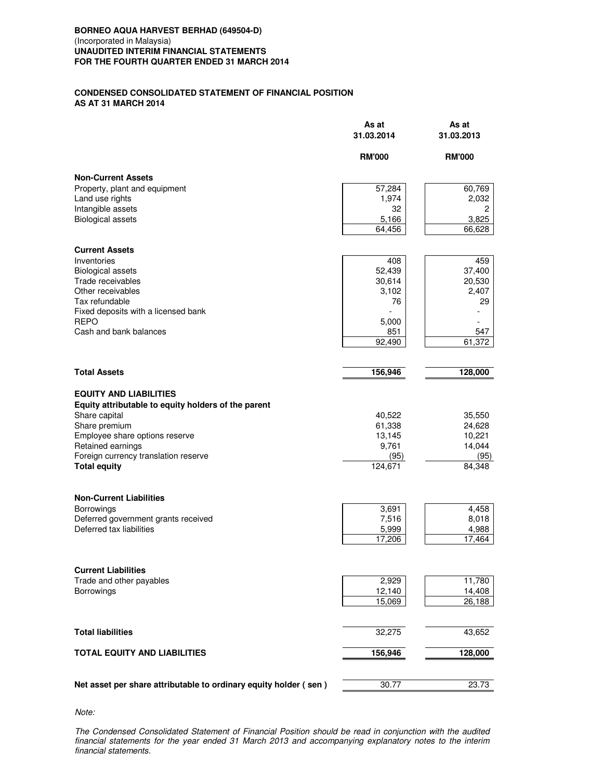# **CONDENSED CONSOLIDATED STATEMENT OF FINANCIAL POSITION AS AT 31 MARCH 2014**

|                                                                  | As at<br>31.03.2014 | As at<br>31.03.2013 |
|------------------------------------------------------------------|---------------------|---------------------|
|                                                                  | <b>RM'000</b>       | <b>RM'000</b>       |
| <b>Non-Current Assets</b>                                        |                     |                     |
| Property, plant and equipment                                    | 57,284              | 60,769              |
| Land use rights                                                  | 1,974               | 2,032               |
| Intangible assets                                                | 32                  | 2                   |
| <b>Biological assets</b>                                         | 5,166               | 3,825               |
|                                                                  | 64,456              | 66,628              |
| <b>Current Assets</b>                                            |                     |                     |
| Inventories                                                      | 408                 | 459                 |
| <b>Biological assets</b>                                         | 52,439              | 37,400              |
| Trade receivables                                                | 30,614              | 20,530              |
| Other receivables                                                | 3,102               | 2,407               |
| Tax refundable                                                   | 76                  | 29                  |
| Fixed deposits with a licensed bank                              |                     |                     |
| <b>REPO</b>                                                      | 5,000               |                     |
| Cash and bank balances                                           | 851                 | 547                 |
|                                                                  | 92,490              | 61,372              |
|                                                                  |                     |                     |
| <b>Total Assets</b>                                              | 156,946             | 128,000             |
| <b>EQUITY AND LIABILITIES</b>                                    |                     |                     |
| Equity attributable to equity holders of the parent              |                     |                     |
| Share capital                                                    | 40,522              | 35,550              |
| Share premium                                                    | 61,338              | 24,628              |
| Employee share options reserve                                   | 13,145              | 10,221              |
| Retained earnings                                                | 9,761               | 14,044              |
| Foreign currency translation reserve                             | (95)                | (95)                |
| <b>Total equity</b>                                              | 124,671             | 84,348              |
|                                                                  |                     |                     |
| <b>Non-Current Liabilities</b>                                   |                     |                     |
| Borrowings                                                       | 3,691               | 4,458               |
| Deferred government grants received                              | 7,516               | 8,018               |
| Deferred tax liabilities                                         | 5,999               | 4,988               |
|                                                                  | 17,206              | 17,464              |
|                                                                  |                     |                     |
| <b>Current Liabilities</b>                                       |                     |                     |
| Trade and other payables                                         | 2,929               | 11,780              |
| Borrowings                                                       | 12,140              | 14,408              |
|                                                                  | 15,069              | 26,188              |
|                                                                  |                     |                     |
| <b>Total liabilities</b>                                         | 32,275              | 43,652              |
| <b>TOTAL EQUITY AND LIABILITIES</b>                              | 156,946             | 128,000             |
|                                                                  |                     |                     |
| Net asset per share attributable to ordinary equity holder (sen) | 30.77               | 23.73               |

*Note:*

*The Condensed Consolidated Statement of Financial Position should be read in conjunction with the audited financial statements for the year ended 31 March 2013 and accompanying explanatory notes to the interim financial statements.*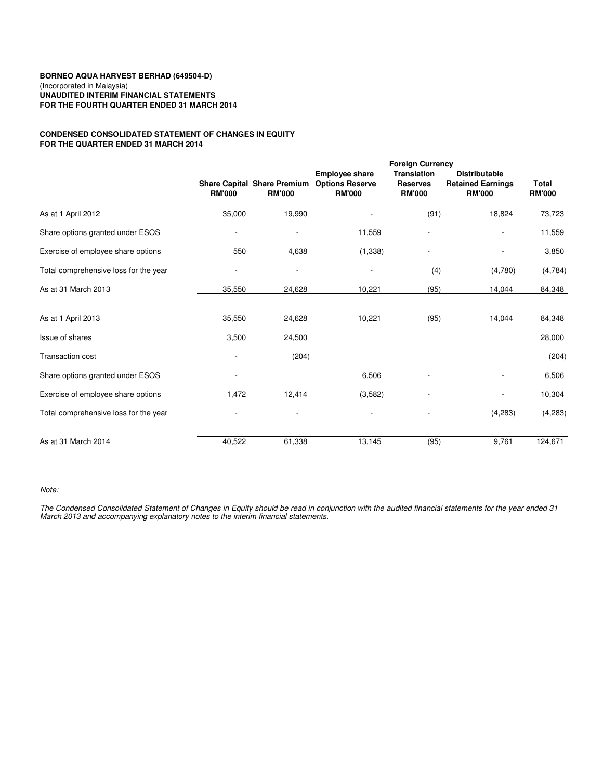## **BORNEO AQUA HARVEST BERHAD (649504-D)** (Incorporated in Malaysia) **UNAUDITED INTERIM FINANCIAL STATEMENTS FOR THE FOURTH QUARTER ENDED 31 MARCH 2014**

# **CONDENSED CONSOLIDATED STATEMENT OF CHANGES IN EQUITY FOR THE QUARTER ENDED 31 MARCH 2014**

| <b>Share Capital Share Premium</b> |                          | <b>Employee share</b>    | <b>Translation</b> | <b>Distributable</b>     |               |
|------------------------------------|--------------------------|--------------------------|--------------------|--------------------------|---------------|
|                                    |                          |                          |                    |                          |               |
|                                    |                          | <b>Options Reserve</b>   | <b>Reserves</b>    | <b>Retained Earnings</b> | <b>Total</b>  |
| <b>RM'000</b>                      | <b>RM'000</b>            | <b>RM'000</b>            | <b>RM'000</b>      | <b>RM'000</b>            | <b>RM'000</b> |
| 35,000                             | 19,990                   |                          | (91)               | 18,824                   | 73,723        |
|                                    | $\overline{\phantom{a}}$ | 11,559                   | ٠                  |                          | 11,559        |
| 550                                | 4,638                    | (1, 338)                 |                    |                          | 3,850         |
|                                    | $\overline{\phantom{a}}$ | $\overline{\phantom{a}}$ | (4)                | (4,780)                  | (4,784)       |
| 35,550                             | 24,628                   | 10,221                   | (95)               | 14,044                   | 84,348        |
|                                    |                          |                          |                    |                          |               |
| 35,550                             | 24,628                   | 10,221                   | (95)               | 14,044                   | 84,348        |
| 3,500                              | 24,500                   |                          |                    |                          | 28,000        |
|                                    | (204)                    |                          |                    |                          | (204)         |
|                                    |                          | 6,506                    |                    |                          | 6,506         |
| 1,472                              | 12,414                   | (3,582)                  |                    |                          | 10,304        |
|                                    |                          |                          |                    | (4,283)                  | (4,283)       |
| 40,522                             |                          |                          | (95)               | 9,761                    | 124,671       |
|                                    |                          | 61,338                   | 13,145             |                          |               |

## *Note:*

*The Condensed Consolidated Statement of Changes in Equity should be read in conjunction with the audited financial statements for the year ended 31 March 2013 and accompanying explanatory notes to the interim financial statements.*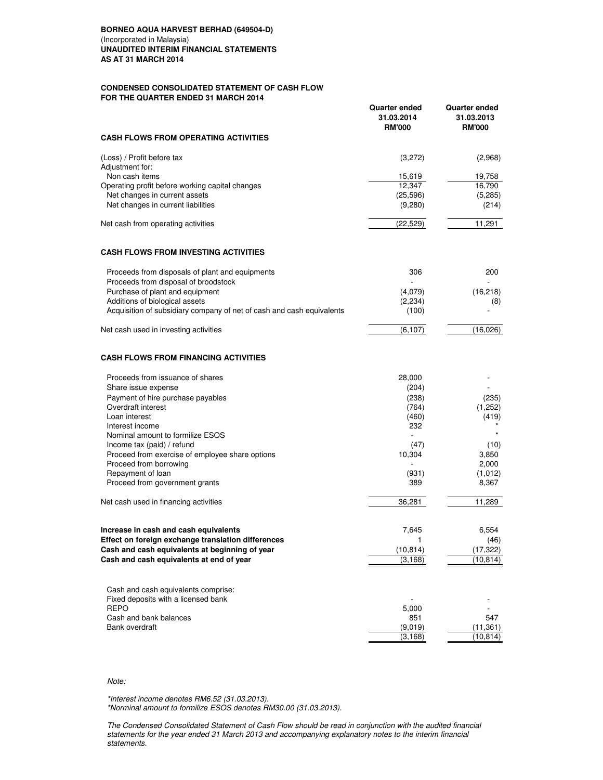## **BORNEO AQUA HARVEST BERHAD (649504-D)** (Incorporated in Malaysia) **UNAUDITED INTERIM FINANCIAL STATEMENTS AS AT 31 MARCH 2014**

## **CONDENSED CONSOLIDATED STATEMENT OF CASH FLOW FOR THE QUARTER ENDED 31 MARCH 2014**

|                                                                       | <b>Quarter ended</b><br>31.03.2014<br><b>RM'000</b> | <b>Quarter ended</b><br>31.03.2013<br><b>RM'000</b> |
|-----------------------------------------------------------------------|-----------------------------------------------------|-----------------------------------------------------|
| <b>CASH FLOWS FROM OPERATING ACTIVITIES</b>                           |                                                     |                                                     |
| (Loss) / Profit before tax                                            | (3,272)                                             | (2,968)                                             |
| Adjustment for:                                                       |                                                     |                                                     |
| Non cash items                                                        | 15,619                                              | 19,758                                              |
| Operating profit before working capital changes                       | 12,347                                              | 16,790                                              |
| Net changes in current assets                                         | (25, 596)                                           | (5,285)                                             |
| Net changes in current liabilities                                    | (9,280)                                             | (214)                                               |
| Net cash from operating activities                                    | (22, 529)                                           | 11,291                                              |
| <b>CASH FLOWS FROM INVESTING ACTIVITIES</b>                           |                                                     |                                                     |
| Proceeds from disposals of plant and equipments                       | 306                                                 | 200                                                 |
| Proceeds from disposal of broodstock                                  |                                                     |                                                     |
| Purchase of plant and equipment                                       | (4,079)                                             | (16, 218)                                           |
| Additions of biological assets                                        | (2,234)                                             | (8)                                                 |
| Acquisition of subsidiary company of net of cash and cash equivalents | (100)                                               |                                                     |
| Net cash used in investing activities                                 | (6, 107)                                            | (16,026)                                            |
| <b>CASH FLOWS FROM FINANCING ACTIVITIES</b>                           |                                                     |                                                     |
| Proceeds from issuance of shares                                      | 28,000                                              |                                                     |
| Share issue expense                                                   | (204)                                               |                                                     |
| Payment of hire purchase payables                                     | (238)                                               | (235)                                               |
| Overdraft interest                                                    | (764)                                               | (1,252)                                             |
| Loan interest                                                         | (460)                                               | (419)                                               |
| Interest income                                                       | 232                                                 |                                                     |
| Nominal amount to formilize ESOS                                      |                                                     |                                                     |
| Income tax (paid) / refund                                            | (47)                                                | (10)                                                |
| Proceed from exercise of employee share options                       | 10,304                                              | 3,850                                               |
| Proceed from borrowing                                                |                                                     | 2,000                                               |
| Repayment of loan                                                     | (931)                                               | (1,012)                                             |
| Proceed from government grants                                        | 389                                                 | 8,367                                               |
| Net cash used in financing activities                                 | 36,281                                              | 11,289                                              |
| Increase in cash and cash equivalents                                 | 7,645                                               | 6,554                                               |
| Effect on foreign exchange translation differences                    | 1                                                   | (46)                                                |
| Cash and cash equivalents at beginning of year                        | (10, 814)                                           | (17, 322)                                           |
| Cash and cash equivalents at end of year                              | (3, 168)                                            | (10, 814)                                           |
|                                                                       |                                                     |                                                     |
| Cash and cash equivalents comprise:                                   |                                                     |                                                     |
| Fixed deposits with a licensed bank                                   |                                                     |                                                     |
| <b>REPO</b>                                                           | 5,000                                               |                                                     |
| Cash and bank balances<br>Bank overdraft                              | 851                                                 | 547                                                 |
|                                                                       | (9,019)<br>(3, 168)                                 | (11, 361)<br>(10, 814)                              |
|                                                                       |                                                     |                                                     |

## *Note:*

*\*Interest income denotes RM6.52 (31.03.2013).*

*\*Norminal amount to formilize ESOS denotes RM30.00 (31.03.2013).*

*The Condensed Consolidated Statement of Cash Flow should be read in conjunction with the audited financial statements for the year ended 31 March 2013 and accompanying explanatory notes to the interim financial statements.*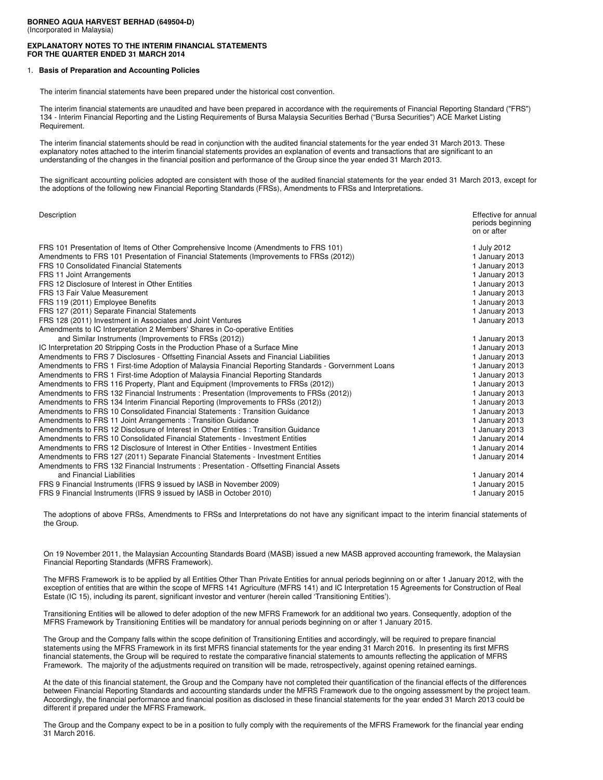#### **BORNEO AQUA HARVEST BERHAD (649504-D)** (Incorporated in Malaysia)

## **EXPLANATORY NOTES TO THE INTERIM FINANCIAL STATEMENTS FOR THE QUARTER ENDED 31 MARCH 2014**

### 1. **Basis of Preparation and Accounting Policies**

The interim financial statements have been prepared under the historical cost convention.

The interim financial statements are unaudited and have been prepared in accordance with the requirements of Financial Reporting Standard ("FRS") 134 - Interim Financial Reporting and the Listing Requirements of Bursa Malaysia Securities Berhad ("Bursa Securities") ACE Market Listing Requirement.

The interim financial statements should be read in conjunction with the audited financial statements for the year ended 31 March 2013. These explanatory notes attached to the interim financial statements provides an explanation of events and transactions that are significant to an understanding of the changes in the financial position and performance of the Group since the year ended 31 March 2013.

The significant accounting policies adopted are consistent with those of the audited financial statements for the year ended 31 March 2013, except for the adoptions of the following new Financial Reporting Standards (FRSs), Amendments to FRSs and Interpretations.

| Effective for annual<br>periods beginning<br>on or after |
|----------------------------------------------------------|
| 1 July 2012                                              |
| 1 January 2013                                           |
| 1 January 2013                                           |
| 1 January 2013                                           |
| 1 January 2013                                           |
| 1 January 2013                                           |
| 1 January 2013                                           |
| 1 January 2013                                           |
| 1 January 2013                                           |
|                                                          |
| 1 January 2013                                           |
| 1 January 2013                                           |
| 1 January 2013                                           |
| 1 January 2013                                           |
| 1 January 2013                                           |
| 1 January 2013                                           |
| 1 January 2013                                           |
| 1 January 2013                                           |
| 1 January 2013                                           |
| 1 January 2013                                           |
| 1 January 2013                                           |
| 1 January 2014                                           |
| 1 January 2014                                           |
| 1 January 2014                                           |
|                                                          |
| 1 January 2014                                           |
| 1 January 2015                                           |
| 1 January 2015                                           |
|                                                          |

The adoptions of above FRSs, Amendments to FRSs and Interpretations do not have any significant impact to the interim financial statements of the Group.

On 19 November 2011, the Malaysian Accounting Standards Board (MASB) issued a new MASB approved accounting framework, the Malaysian Financial Reporting Standards (MFRS Framework).

The MFRS Framework is to be applied by all Entities Other Than Private Entities for annual periods beginning on or after 1 January 2012, with the exception of entities that are within the scope of MFRS 141 Agriculture (MFRS 141) and IC Interpretation 15 Agreements for Construction of Real Estate (IC 15), including its parent, significant investor and venturer (herein called 'Transitioning Entities').

Transitioning Entities will be allowed to defer adoption of the new MFRS Framework for an additional two years. Consequently, adoption of the MFRS Framework by Transitioning Entities will be mandatory for annual periods beginning on or after 1 January 2015.

The Group and the Company falls within the scope definition of Transitioning Entities and accordingly, will be required to prepare financial statements using the MFRS Framework in its first MFRS financial statements for the year ending 31 March 2016. In presenting its first MFRS financial statements, the Group will be required to restate the comparative financial statements to amounts reflecting the application of MFRS Framework. The majority of the adjustments required on transition will be made, retrospectively, against opening retained earnings.

At the date of this financial statement, the Group and the Company have not completed their quantification of the financial effects of the differences between Financial Reporting Standards and accounting standards under the MFRS Framework due to the ongoing assessment by the project team. Accordingly, the financial performance and financial position as disclosed in these financial statements for the year ended 31 March 2013 could be different if prepared under the MFRS Framework.

The Group and the Company expect to be in a position to fully comply with the requirements of the MFRS Framework for the financial year ending 31 March 2016.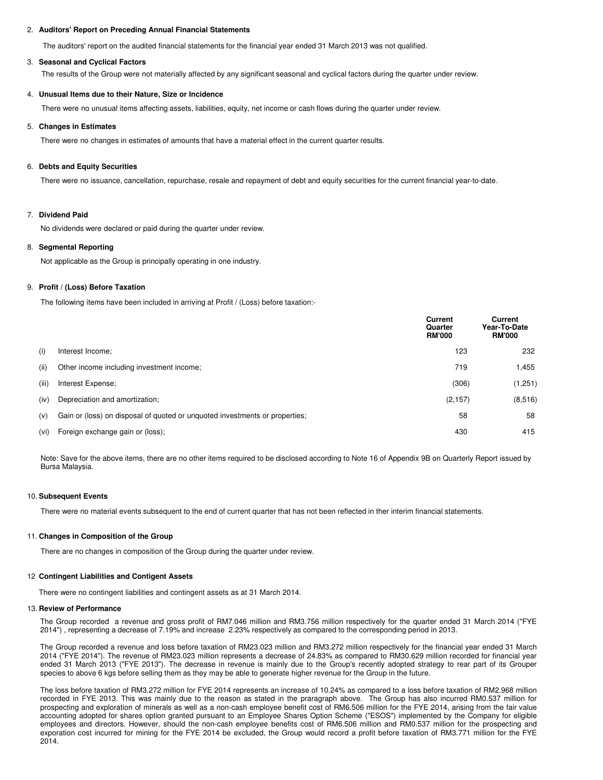### 2. **Auditors' Report on Preceding Annual Financial Statements**

The auditors' report on the audited financial statements for the financial year ended 31 March 2013 was not qualified.

#### 3. **Seasonal and Cyclical Factors**

The results of the Group were not materially affected by any significant seasonal and cyclical factors during the quarter under review.

## 4. **Unusual Items due to their Nature, Size or Incidence**

There were no unusual items affecting assets, liabilities, equity, net income or cash flows during the quarter under review.

#### 5. **Changes in Estimates**

There were no changes in estimates of amounts that have a material effect in the current quarter results.

#### 6. **Debts and Equity Securities**

There were no issuance, cancellation, repurchase, resale and repayment of debt and equity securities for the current financial year-to-date.

## 7. **Dividend Paid**

No dividends were declared or paid during the quarter under review.

#### 8. **Segmental Reporting**

Not applicable as the Group is principally operating in one industry.

## 9. **Profit / (Loss) Before Taxation**

The following items have been included in arriving at Profit / (Loss) before taxation:-

|       |                                                                             | Current<br>Quarter<br><b>RM'000</b> | <b>Current</b><br>Year-To-Date<br><b>RM'000</b> |
|-------|-----------------------------------------------------------------------------|-------------------------------------|-------------------------------------------------|
| (i)   | Interest Income;                                                            | 123                                 | 232                                             |
| (ii)  | Other income including investment income:                                   | 719                                 | 1,455                                           |
| (iii) | Interest Expense;                                                           | (306)                               | (1,251)                                         |
| (iv)  | Depreciation and amortization:                                              | (2, 157)                            | (8, 516)                                        |
| (v)   | Gain or (loss) on disposal of quoted or unquoted investments or properties; | 58                                  | 58                                              |
| (vi)  | Foreign exchange gain or (loss);                                            | 430                                 | 415                                             |

Note: Save for the above items, there are no other items required to be disclosed according to Note 16 of Appendix 9B on Quarterly Report issued by Bursa Malaysia.

#### 10. **Subsequent Events**

There were no material events subsequent to the end of current quarter that has not been reflected in ther interim financial statements.

#### 11. **Changes in Composition of the Group**

There are no changes in composition of the Group during the quarter under review.

#### 12 **Contingent Liabilities and Contigent Assets**

There were no contingent liabilities and contingent assets as at 31 March 2014.

#### 13. **Review of Performance**

The Group recorded a revenue and gross profit of RM7.046 million and RM3.756 million respectively for the quarter ended 31 March 2014 ("FYE 2014") , representing a decrease of 7.19% and increase 2.23% respectively as compared to the corresponding period in 2013.

The Group recorded a revenue and loss before taxation of RM23.023 million and RM3.272 million respectively for the financial year ended 31 March 2014 ("FYE 2014"). The revenue of RM23.023 million represents a decrease of 24.83% as compared to RM30.629 million recorded for financial year ended 31 March 2013 ("FYE 2013"). The decrease in revenue is mainly due to the Group's recently adopted strategy to rear part of its Grouper species to above 6 kgs before selling them as they may be able to generate higher revenue for the Group in the future.

The loss before taxation of RM3.272 million for FYE 2014 represents an increase of 10.24% as compared to a loss before taxation of RM2.968 million recorded in FYE 2013. This was mainly due to the reason as stated in the praragraph above. The Group has also incurred RM0.537 million for prospecting and exploration of minerals as well as a non-cash employee benefit cost of RM6.506 million for the FYE 2014, arising from the fair value accounting adopted for shares option granted pursuant to an Employee Shares Option Scheme ("ESOS") implemented by the Company for eligible employees and directors. However, should the non-cash employee benefits cost of RM6.506 million and RM0.537 million for the prospecting and exporation cost incurred for mining for the FYE 2014 be excluded, the Group would record a profit before taxation of RM3.771 million for the FYE 2014.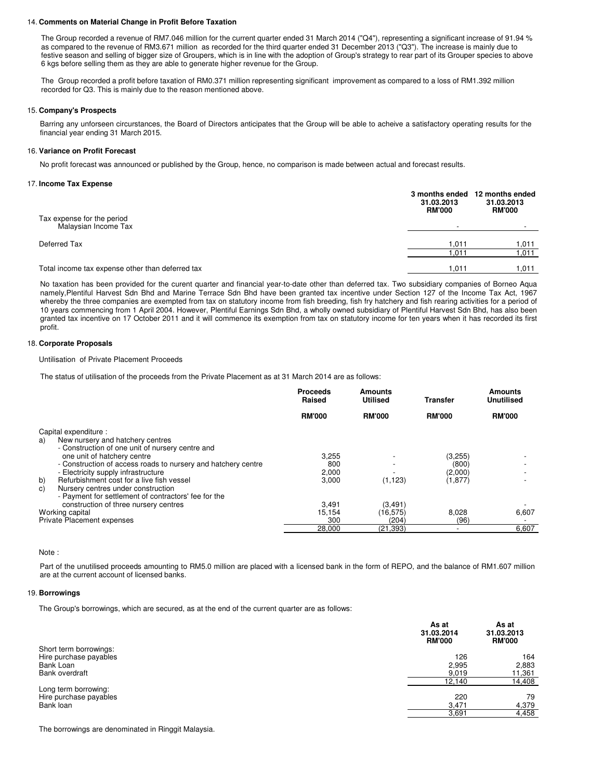#### 14. **Comments on Material Change in Profit Before Taxation**

The Group recorded a revenue of RM7.046 million for the current quarter ended 31 March 2014 ("Q4"), representing a significant increase of 91.94 % as compared to the revenue of RM3.671 million as recorded for the third quarter ended 31 December 2013 ("Q3"). The increase is mainly due to festive season and selling of bigger size of Groupers, which is in line with the adoption of Group's strategy to rear part of its Grouper species to above 6 kgs before selling them as they are able to generate higher revenue for the Group.

The Group recorded a profit before taxation of RM0.371 million representing significant improvement as compared to a loss of RM1.392 million recorded for Q3. This is mainly due to the reason mentioned above.

#### 15. **Company's Prospects**

Barring any unforseen circurstances, the Board of Directors anticipates that the Group will be able to acheive a satisfactory operating results for the financial year ending 31 March 2015.

## 16. **Variance on Profit Forecast**

No profit forecast was announced or published by the Group, hence, no comparison is made between actual and forecast results.

#### 17. **Income Tax Expense**

|                                                    | 31.03.2013<br><b>RM'000</b> | 3 months ended 12 months ended<br>31.03.2013<br><b>RM'000</b> |
|----------------------------------------------------|-----------------------------|---------------------------------------------------------------|
| Tax expense for the period<br>Malaysian Income Tax |                             |                                                               |
| Deferred Tax                                       | 1.011                       | 1.011                                                         |
|                                                    | 011.،                       | 011,                                                          |
| Total income tax expense other than deferred tax   | 1.011                       | 011. ا                                                        |

No taxation has been provided for the curent quarter and financial year-to-date other than deferred tax. Two subsidiary companies of Borneo Aqua namely,Plentiful Harvest Sdn Bhd and Marine Terrace Sdn Bhd have been granted tax incentive under Section 127 of the Income Tax Act, 1967 whereby the three companies are exempted from tax on statutory income from fish breeding, fish fry hatchery and fish rearing activities for a period of 10 years commencing from 1 April 2004. However, Plentiful Earnings Sdn Bhd, a wholly owned subsidiary of Plentiful Harvest Sdn Bhd, has also been granted tax incentive on 17 October 2011 and it will commence its exemption from tax on statutory income for ten years when it has recorded its first profit.

## 18. **Corporate Proposals**

#### Untilisation of Private Placement Proceeds

The status of utilisation of the proceeds from the Private Placement as at 31 March 2014 are as follows:

|                                                               | <b>Proceeds</b><br>Raised | Amounts<br><b>Utilised</b> | Transfer      | Amounts<br><b>Unutilised</b> |
|---------------------------------------------------------------|---------------------------|----------------------------|---------------|------------------------------|
|                                                               | <b>RM'000</b>             | <b>RM'000</b>              | <b>RM'000</b> | <b>RM'000</b>                |
| Capital expenditure :                                         |                           |                            |               |                              |
| New nursery and hatchery centres<br>a)                        |                           |                            |               |                              |
| - Construction of one unit of nursery centre and              |                           |                            |               |                              |
| one unit of hatchery centre                                   | 3,255                     |                            | (3,255)       |                              |
| - Construction of access roads to nursery and hatchery centre | 800                       |                            | (800)         |                              |
| - Electricity supply infrastructure                           | 2,000                     |                            | (2,000)       |                              |
| b)<br>Refurbishment cost for a live fish vessel               | 3.000                     | (1, 123)                   | (1, 877)      |                              |
| Nursery centres under construction<br>C)                      |                           |                            |               |                              |
| - Payment for settlement of contractors' fee for the          |                           |                            |               |                              |
| construction of three nursery centres                         | 3,491                     | (3, 491)                   |               |                              |
| Working capital                                               | 15.154                    | (16.575)                   | 8.028         | 6,607                        |
| Private Placement expenses                                    | 300                       | (204)                      | (96)          |                              |
|                                                               |                           |                            |               |                              |
|                                                               | 28,000                    | (21.393)                   |               | 6.607                        |

Note :

Part of the unutilised proceeds amounting to RM5.0 million are placed with a licensed bank in the form of REPO, and the balance of RM1.607 million are at the current account of licensed banks.

#### 19. **Borrowings**

The Group's borrowings, which are secured, as at the end of the current quarter are as follows:

|                                                             | As at<br>31.03.2014<br><b>RM'000</b> | As at<br>31.03.2013<br><b>RM'000</b> |
|-------------------------------------------------------------|--------------------------------------|--------------------------------------|
| Short term borrowings:<br>Hire purchase payables            | 126                                  | 164                                  |
| Bank Loan                                                   | 2,995                                | 2,883                                |
| Bank overdraft                                              | 9,019                                | 11,361                               |
|                                                             | 12,140                               | 14,408                               |
| Long term borrowing:<br>Hire purchase payables<br>Bank loan | 220<br>3,471<br>3,691                | 79<br>4,379<br>4,458                 |

The borrowings are denominated in Ringgit Malaysia.